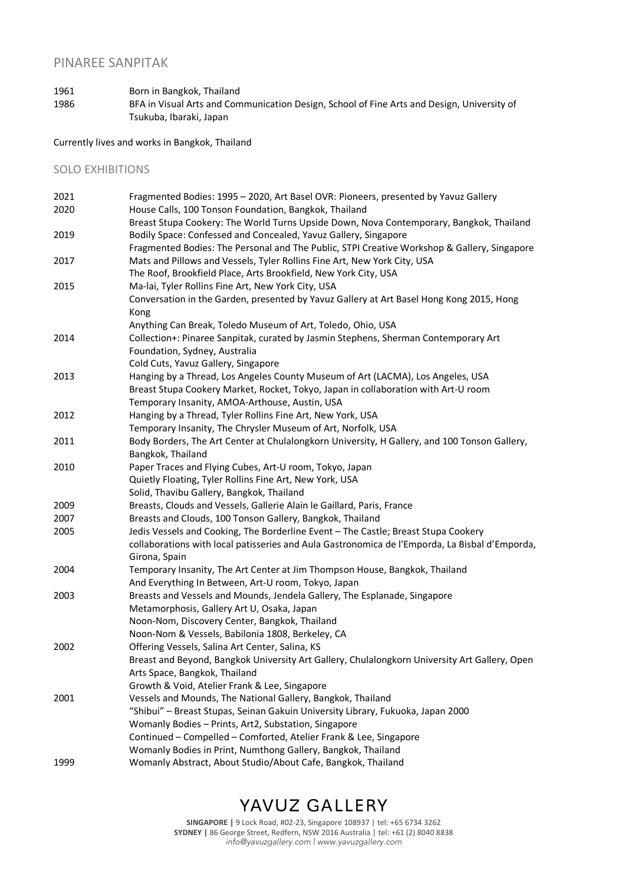### PINAREE SANPITAK

1961 Born in Bangkok, Thailand 1986 BFA in Visual Arts and Communication Design, School of Fine Arts and Design, University of Tsukuba, Ibaraki, Japan

Currently lives and works in Bangkok, Thailand

#### SOLO EXHIBITIONS

| 2021 | Fragmented Bodies: 1995 - 2020, Art Basel OVR: Pioneers, presented by Yavuz Gallery            |
|------|------------------------------------------------------------------------------------------------|
| 2020 | House Calls, 100 Tonson Foundation, Bangkok, Thailand                                          |
|      | Breast Stupa Cookery: The World Turns Upside Down, Nova Contemporary, Bangkok, Thailand        |
| 2019 | Bodily Space: Confessed and Concealed, Yavuz Gallery, Singapore                                |
|      | Fragmented Bodies: The Personal and The Public, STPI Creative Workshop & Gallery, Singapore    |
| 2017 | Mats and Pillows and Vessels, Tyler Rollins Fine Art, New York City, USA                       |
|      | The Roof, Brookfield Place, Arts Brookfield, New York City, USA                                |
| 2015 | Ma-lai, Tyler Rollins Fine Art, New York City, USA                                             |
|      | Conversation in the Garden, presented by Yavuz Gallery at Art Basel Hong Kong 2015, Hong       |
|      | Kong                                                                                           |
|      | Anything Can Break, Toledo Museum of Art, Toledo, Ohio, USA                                    |
| 2014 | Collection+: Pinaree Sanpitak, curated by Jasmin Stephens, Sherman Contemporary Art            |
|      | Foundation, Sydney, Australia                                                                  |
|      | Cold Cuts, Yavuz Gallery, Singapore                                                            |
| 2013 | Hanging by a Thread, Los Angeles County Museum of Art (LACMA), Los Angeles, USA                |
|      | Breast Stupa Cookery Market, Rocket, Tokyo, Japan in collaboration with Art-U room             |
|      | Temporary Insanity, AMOA-Arthouse, Austin, USA                                                 |
| 2012 | Hanging by a Thread, Tyler Rollins Fine Art, New York, USA                                     |
|      | Temporary Insanity, The Chrysler Museum of Art, Norfolk, USA                                   |
| 2011 | Body Borders, The Art Center at Chulalongkorn University, H Gallery, and 100 Tonson Gallery,   |
|      | Bangkok, Thailand                                                                              |
| 2010 | Paper Traces and Flying Cubes, Art-U room, Tokyo, Japan                                        |
|      | Quietly Floating, Tyler Rollins Fine Art, New York, USA                                        |
|      | Solid, Thavibu Gallery, Bangkok, Thailand                                                      |
| 2009 | Breasts, Clouds and Vessels, Gallerie Alain le Gaillard, Paris, France                         |
| 2007 | Breasts and Clouds, 100 Tonson Gallery, Bangkok, Thailand                                      |
| 2005 | Jedis Vessels and Cooking, The Borderline Event - The Castle; Breast Stupa Cookery             |
|      | collaborations with local patisseries and Aula Gastronomica de l'Emporda, La Bisbal d'Emporda, |
|      | Girona, Spain                                                                                  |
| 2004 | Temporary Insanity, The Art Center at Jim Thompson House, Bangkok, Thailand                    |
|      | And Everything In Between, Art-U room, Tokyo, Japan                                            |
| 2003 | Breasts and Vessels and Mounds, Jendela Gallery, The Esplanade, Singapore                      |
|      | Metamorphosis, Gallery Art U, Osaka, Japan                                                     |
|      | Noon-Nom, Discovery Center, Bangkok, Thailand                                                  |
|      | Noon-Nom & Vessels, Babilonia 1808, Berkeley, CA                                               |
| 2002 | Offering Vessels, Salina Art Center, Salina, KS                                                |
|      | Breast and Beyond, Bangkok University Art Gallery, Chulalongkorn University Art Gallery, Open  |
|      | Arts Space, Bangkok, Thailand                                                                  |
|      | Growth & Void, Atelier Frank & Lee, Singapore                                                  |
| 2001 | Vessels and Mounds, The National Gallery, Bangkok, Thailand                                    |
|      | "Shibui" - Breast Stupas, Seinan Gakuin University Library, Fukuoka, Japan 2000                |
|      | Womanly Bodies - Prints, Art2, Substation, Singapore                                           |
|      | Continued - Compelled - Comforted, Atelier Frank & Lee, Singapore                              |
|      | Womanly Bodies in Print, Numthong Gallery, Bangkok, Thailand                                   |
| 1999 | Womanly Abstract, About Studio/About Cafe, Bangkok, Thailand                                   |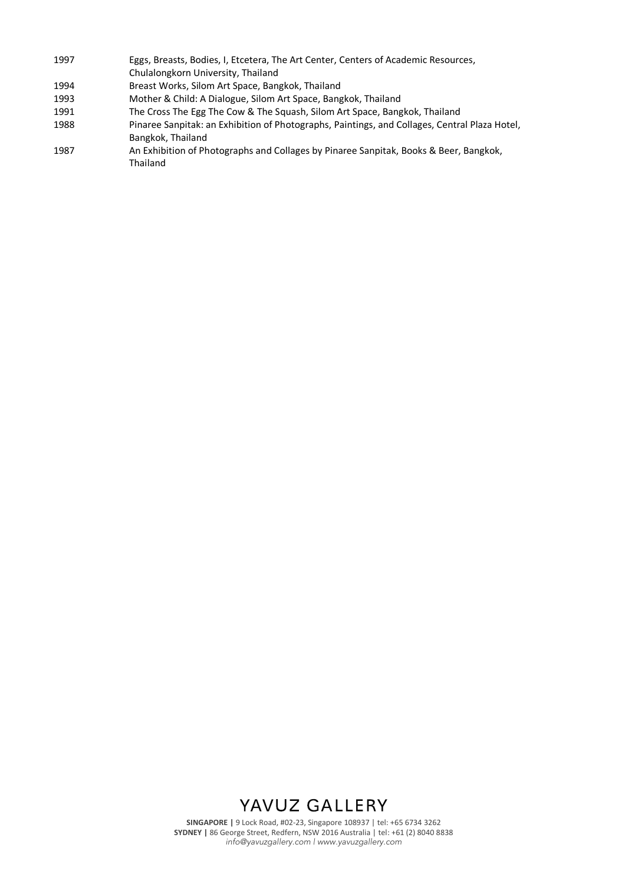- 1997 Eggs, Breasts, Bodies, I, Etcetera, The Art Center, Centers of Academic Resources, Chulalongkorn University, Thailand 1994 Breast Works, Silom Art Space, Bangkok, Thailand
- 1993 Mother & Child: A Dialogue, Silom Art Space, Bangkok, Thailand
- 1991 The Cross The Egg The Cow & The Squash, Silom Art Space, Bangkok, Thailand
- 1988 Pinaree Sanpitak: an Exhibition of Photographs, Paintings, and Collages, Central Plaza Hotel, Bangkok, Thailand
- 1987 An Exhibition of Photographs and Collages by Pinaree Sanpitak, Books & Beer, Bangkok, Thailand

### YAVUZ GALLERY

**SINGAPORE |** 9 Lock Road, #02-23, Singapore 108937 | tel: +65 6734 3262 **SYDNEY |** 86 George Street, Redfern, NSW 2016 Australia | tel: +61 (2) 8040 8838 *info@yavuzgallery.com | www.yavuzgallery.com*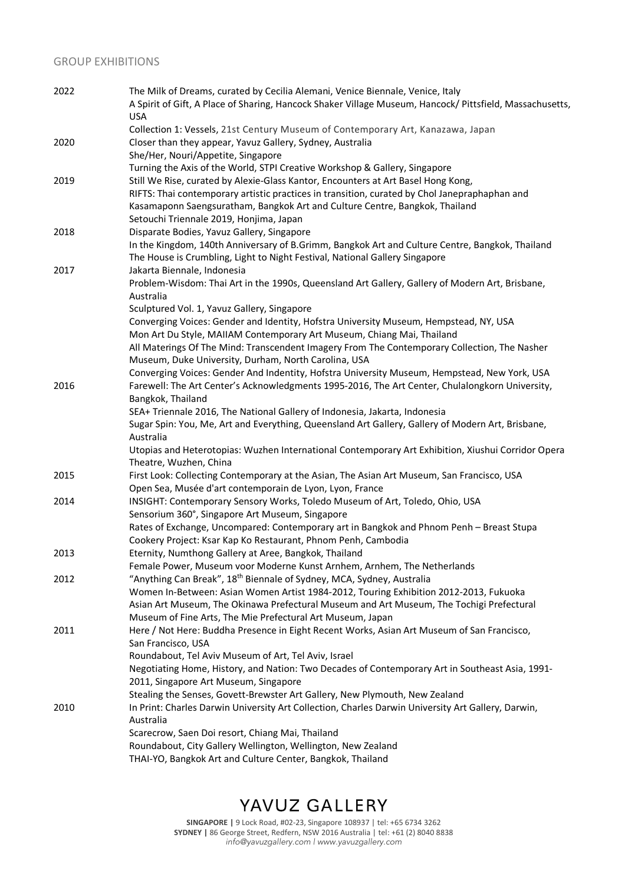### GROUP EXHIBITIONS

| 2022 | The Milk of Dreams, curated by Cecilia Alemani, Venice Biennale, Venice, Italy                                  |
|------|-----------------------------------------------------------------------------------------------------------------|
|      | A Spirit of Gift, A Place of Sharing, Hancock Shaker Village Museum, Hancock/ Pittsfield, Massachusetts,        |
|      | <b>USA</b>                                                                                                      |
|      | Collection 1: Vessels, 21st Century Museum of Contemporary Art, Kanazawa, Japan                                 |
| 2020 | Closer than they appear, Yavuz Gallery, Sydney, Australia                                                       |
|      | She/Her, Nouri/Appetite, Singapore                                                                              |
|      | Turning the Axis of the World, STPI Creative Workshop & Gallery, Singapore                                      |
| 2019 | Still We Rise, curated by Alexie-Glass Kantor, Encounters at Art Basel Hong Kong,                               |
|      | RIFTS: Thai contemporary artistic practices in transition, curated by Chol Janepraphaphan and                   |
|      | Kasamaponn Saengsuratham, Bangkok Art and Culture Centre, Bangkok, Thailand                                     |
|      | Setouchi Triennale 2019, Honjima, Japan                                                                         |
|      |                                                                                                                 |
| 2018 | Disparate Bodies, Yavuz Gallery, Singapore                                                                      |
|      | In the Kingdom, 140th Anniversary of B.Grimm, Bangkok Art and Culture Centre, Bangkok, Thailand                 |
|      | The House is Crumbling, Light to Night Festival, National Gallery Singapore                                     |
| 2017 | Jakarta Biennale, Indonesia                                                                                     |
|      | Problem-Wisdom: Thai Art in the 1990s, Queensland Art Gallery, Gallery of Modern Art, Brisbane,                 |
|      | Australia                                                                                                       |
|      | Sculptured Vol. 1, Yavuz Gallery, Singapore                                                                     |
|      | Converging Voices: Gender and Identity, Hofstra University Museum, Hempstead, NY, USA                           |
|      | Mon Art Du Style, MAIIAM Contemporary Art Museum, Chiang Mai, Thailand                                          |
|      | All Materings Of The Mind: Transcendent Imagery From The Contemporary Collection, The Nasher                    |
|      | Museum, Duke University, Durham, North Carolina, USA                                                            |
|      | Converging Voices: Gender And Indentity, Hofstra University Museum, Hempstead, New York, USA                    |
| 2016 | Farewell: The Art Center's Acknowledgments 1995-2016, The Art Center, Chulalongkorn University,                 |
|      | Bangkok, Thailand                                                                                               |
|      | SEA+ Triennale 2016, The National Gallery of Indonesia, Jakarta, Indonesia                                      |
|      | Sugar Spin: You, Me, Art and Everything, Queensland Art Gallery, Gallery of Modern Art, Brisbane,               |
|      | Australia                                                                                                       |
|      | Utopias and Heterotopias: Wuzhen International Contemporary Art Exhibition, Xiushui Corridor Opera              |
|      | Theatre, Wuzhen, China                                                                                          |
| 2015 | First Look: Collecting Contemporary at the Asian, The Asian Art Museum, San Francisco, USA                      |
|      | Open Sea, Musée d'art contemporain de Lyon, Lyon, France                                                        |
| 2014 | INSIGHT: Contemporary Sensory Works, Toledo Museum of Art, Toledo, Ohio, USA                                    |
|      | Sensorium 360°, Singapore Art Museum, Singapore                                                                 |
|      | Rates of Exchange, Uncompared: Contemporary art in Bangkok and Phnom Penh - Breast Stupa                        |
|      | Cookery Project: Ksar Kap Ko Restaurant, Phnom Penh, Cambodia                                                   |
| 2013 | Eternity, Numthong Gallery at Aree, Bangkok, Thailand                                                           |
|      | Female Power, Museum voor Moderne Kunst Arnhem, Arnhem, The Netherlands                                         |
| 2012 | "Anything Can Break", 18 <sup>th</sup> Biennale of Sydney, MCA, Sydney, Australia                               |
|      | Women In-Between: Asian Women Artist 1984-2012, Touring Exhibition 2012-2013, Fukuoka                           |
|      | Asian Art Museum, The Okinawa Prefectural Museum and Art Museum, The Tochigi Prefectural                        |
|      | Museum of Fine Arts, The Mie Prefectural Art Museum, Japan                                                      |
| 2011 | Here / Not Here: Buddha Presence in Eight Recent Works, Asian Art Museum of San Francisco,                      |
|      | San Francisco, USA                                                                                              |
|      | Roundabout, Tel Aviv Museum of Art, Tel Aviv, Israel                                                            |
|      | Negotiating Home, History, and Nation: Two Decades of Contemporary Art in Southeast Asia, 1991-                 |
|      | 2011, Singapore Art Museum, Singapore                                                                           |
|      | Stealing the Senses, Govett-Brewster Art Gallery, New Plymouth, New Zealand                                     |
| 2010 |                                                                                                                 |
|      | In Print: Charles Darwin University Art Collection, Charles Darwin University Art Gallery, Darwin,<br>Australia |
|      |                                                                                                                 |
|      | Scarecrow, Saen Doi resort, Chiang Mai, Thailand                                                                |
|      | Roundabout, City Gallery Wellington, Wellington, New Zealand                                                    |
|      | THAI-YO, Bangkok Art and Culture Center, Bangkok, Thailand                                                      |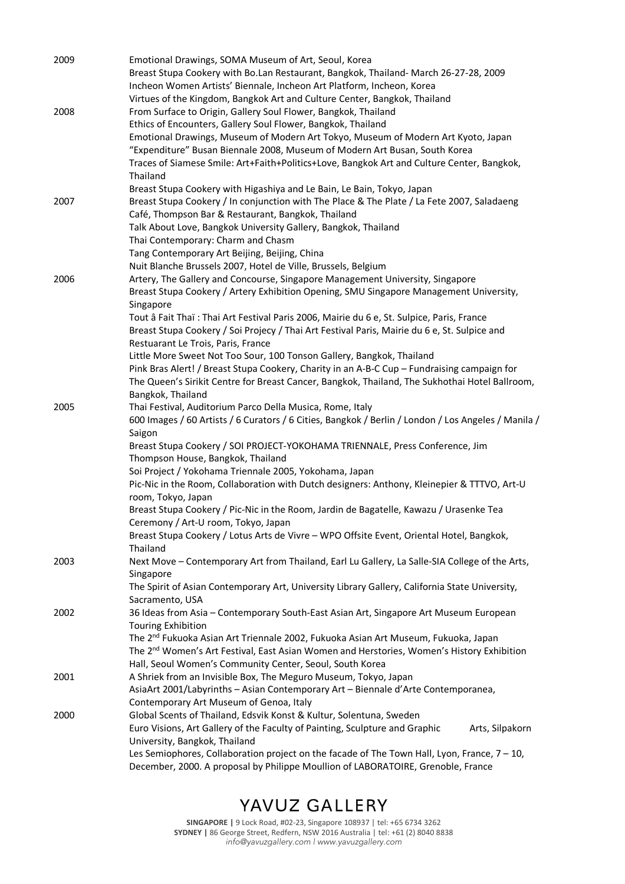| 2009 | Emotional Drawings, SOMA Museum of Art, Seoul, Korea                                                       |
|------|------------------------------------------------------------------------------------------------------------|
|      | Breast Stupa Cookery with Bo.Lan Restaurant, Bangkok, Thailand- March 26-27-28, 2009                       |
|      | Incheon Women Artists' Biennale, Incheon Art Platform, Incheon, Korea                                      |
|      | Virtues of the Kingdom, Bangkok Art and Culture Center, Bangkok, Thailand                                  |
| 2008 | From Surface to Origin, Gallery Soul Flower, Bangkok, Thailand                                             |
|      | Ethics of Encounters, Gallery Soul Flower, Bangkok, Thailand                                               |
|      | Emotional Drawings, Museum of Modern Art Tokyo, Museum of Modern Art Kyoto, Japan                          |
|      | "Expenditure" Busan Biennale 2008, Museum of Modern Art Busan, South Korea                                 |
|      | Traces of Siamese Smile: Art+Faith+Politics+Love, Bangkok Art and Culture Center, Bangkok,<br>Thailand     |
|      | Breast Stupa Cookery with Higashiya and Le Bain, Le Bain, Tokyo, Japan                                     |
| 2007 | Breast Stupa Cookery / In conjunction with The Place & The Plate / La Fete 2007, Saladaeng                 |
|      | Café, Thompson Bar & Restaurant, Bangkok, Thailand                                                         |
|      | Talk About Love, Bangkok University Gallery, Bangkok, Thailand                                             |
|      | Thai Contemporary: Charm and Chasm                                                                         |
|      | Tang Contemporary Art Beijing, Beijing, China                                                              |
|      | Nuit Blanche Brussels 2007, Hotel de Ville, Brussels, Belgium                                              |
| 2006 | Artery, The Gallery and Concourse, Singapore Management University, Singapore                              |
|      | Breast Stupa Cookery / Artery Exhibition Opening, SMU Singapore Management University,                     |
|      | Singapore                                                                                                  |
|      | Tout â Fait Thaï : Thai Art Festival Paris 2006, Mairie du 6 e, St. Sulpice, Paris, France                 |
|      | Breast Stupa Cookery / Soi Projecy / Thai Art Festival Paris, Mairie du 6 e, St. Sulpice and               |
|      | Restuarant Le Trois, Paris, France                                                                         |
|      | Little More Sweet Not Too Sour, 100 Tonson Gallery, Bangkok, Thailand                                      |
|      | Pink Bras Alert! / Breast Stupa Cookery, Charity in an A-B-C Cup - Fundraising campaign for                |
|      | The Queen's Sirikit Centre for Breast Cancer, Bangkok, Thailand, The Sukhothai Hotel Ballroom,             |
|      | Bangkok, Thailand                                                                                          |
| 2005 | Thai Festival, Auditorium Parco Della Musica, Rome, Italy                                                  |
|      | 600 Images / 60 Artists / 6 Curators / 6 Cities, Bangkok / Berlin / London / Los Angeles / Manila /        |
|      | Saigon                                                                                                     |
|      | Breast Stupa Cookery / SOI PROJECT-YOKOHAMA TRIENNALE, Press Conference, Jim                               |
|      | Thompson House, Bangkok, Thailand                                                                          |
|      | Soi Project / Yokohama Triennale 2005, Yokohama, Japan                                                     |
|      | Pic-Nic in the Room, Collaboration with Dutch designers: Anthony, Kleinepier & TTTVO, Art-U                |
|      | room, Tokyo, Japan                                                                                         |
|      | Breast Stupa Cookery / Pic-Nic in the Room, Jardin de Bagatelle, Kawazu / Urasenke Tea                     |
|      | Ceremony / Art-U room. Tokvo. Japan                                                                        |
|      | Breast Stupa Cookery / Lotus Arts de Vivre - WPO Offsite Event, Oriental Hotel, Bangkok,                   |
| 2003 | Thailand<br>Next Move - Contemporary Art from Thailand, Earl Lu Gallery, La Salle-SIA College of the Arts, |
|      | Singapore                                                                                                  |
|      | The Spirit of Asian Contemporary Art, University Library Gallery, California State University,             |
|      | Sacramento, USA                                                                                            |
| 2002 | 36 Ideas from Asia - Contemporary South-East Asian Art, Singapore Art Museum European                      |
|      | <b>Touring Exhibition</b>                                                                                  |
|      | The 2 <sup>nd</sup> Fukuoka Asian Art Triennale 2002, Fukuoka Asian Art Museum, Fukuoka, Japan             |
|      | The 2 <sup>nd</sup> Women's Art Festival, East Asian Women and Herstories, Women's History Exhibition      |
|      | Hall, Seoul Women's Community Center, Seoul, South Korea                                                   |
| 2001 | A Shriek from an Invisible Box, The Meguro Museum, Tokyo, Japan                                            |
|      | AsiaArt 2001/Labyrinths - Asian Contemporary Art - Biennale d'Arte Contemporanea,                          |
|      | Contemporary Art Museum of Genoa, Italy                                                                    |
| 2000 | Global Scents of Thailand, Edsvik Konst & Kultur, Solentuna, Sweden                                        |
|      | Euro Visions, Art Gallery of the Faculty of Painting, Sculpture and Graphic<br>Arts, Silpakorn             |
|      | University, Bangkok, Thailand                                                                              |
|      | Les Semiophores, Collaboration project on the facade of The Town Hall, Lyon, France, $7 - 10$ ,            |
|      | December, 2000. A proposal by Philippe Moullion of LABORATOIRE, Grenoble, France                           |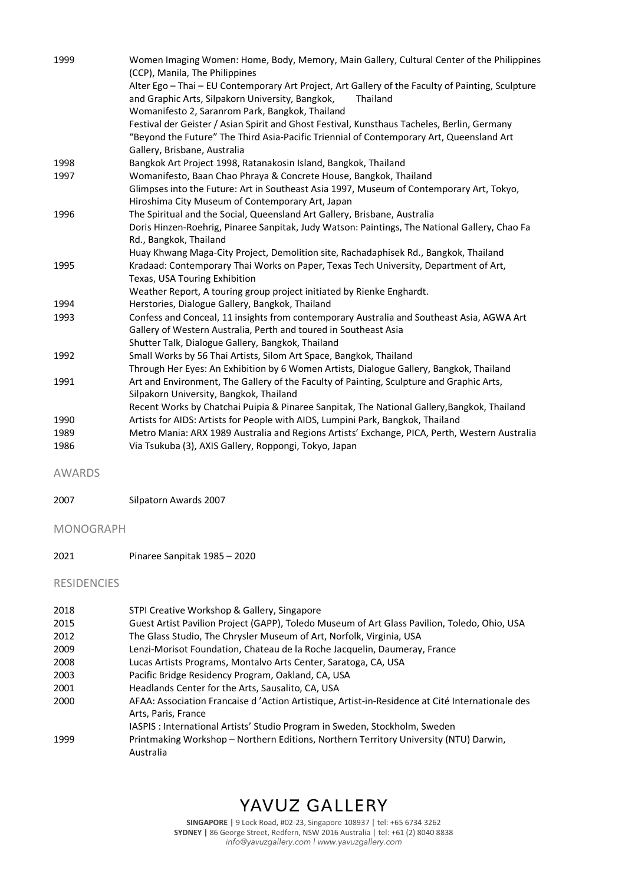| 1999 | Women Imaging Women: Home, Body, Memory, Main Gallery, Cultural Center of the Philippines<br>(CCP), Manila, The Philippines                                                                                             |
|------|-------------------------------------------------------------------------------------------------------------------------------------------------------------------------------------------------------------------------|
|      | Alter Ego - Thai - EU Contemporary Art Project, Art Gallery of the Faculty of Painting, Sculpture<br>and Graphic Arts, Silpakorn University, Bangkok,<br>Thailand<br>Womanifesto 2, Saranrom Park, Bangkok, Thailand    |
|      | Festival der Geister / Asian Spirit and Ghost Festival, Kunsthaus Tacheles, Berlin, Germany<br>"Beyond the Future" The Third Asia-Pacific Triennial of Contemporary Art, Queensland Art<br>Gallery, Brisbane, Australia |
| 1998 | Bangkok Art Project 1998, Ratanakosin Island, Bangkok, Thailand                                                                                                                                                         |
| 1997 | Womanifesto, Baan Chao Phraya & Concrete House, Bangkok, Thailand                                                                                                                                                       |
|      | Glimpses into the Future: Art in Southeast Asia 1997, Museum of Contemporary Art, Tokyo,<br>Hiroshima City Museum of Contemporary Art, Japan                                                                            |
| 1996 | The Spiritual and the Social, Queensland Art Gallery, Brisbane, Australia                                                                                                                                               |
|      | Doris Hinzen-Roehrig, Pinaree Sanpitak, Judy Watson: Paintings, The National Gallery, Chao Fa<br>Rd., Bangkok, Thailand                                                                                                 |
|      | Huay Khwang Maga-City Project, Demolition site, Rachadaphisek Rd., Bangkok, Thailand                                                                                                                                    |
| 1995 | Kradaad: Contemporary Thai Works on Paper, Texas Tech University, Department of Art,<br>Texas, USA Touring Exhibition                                                                                                   |
|      | Weather Report, A touring group project initiated by Rienke Enghardt.                                                                                                                                                   |
| 1994 | Herstories, Dialogue Gallery, Bangkok, Thailand                                                                                                                                                                         |
| 1993 | Confess and Conceal, 11 insights from contemporary Australia and Southeast Asia, AGWA Art<br>Gallery of Western Australia, Perth and toured in Southeast Asia                                                           |
|      | Shutter Talk, Dialogue Gallery, Bangkok, Thailand                                                                                                                                                                       |
| 1992 | Small Works by 56 Thai Artists, Silom Art Space, Bangkok, Thailand                                                                                                                                                      |
|      | Through Her Eyes: An Exhibition by 6 Women Artists, Dialogue Gallery, Bangkok, Thailand                                                                                                                                 |
| 1991 | Art and Environment, The Gallery of the Faculty of Painting, Sculpture and Graphic Arts,<br>Silpakorn University, Bangkok, Thailand                                                                                     |
|      | Recent Works by Chatchai Puipia & Pinaree Sanpitak, The National Gallery, Bangkok, Thailand                                                                                                                             |
| 1990 | Artists for AIDS: Artists for People with AIDS, Lumpini Park, Bangkok, Thailand                                                                                                                                         |
| 1989 | Metro Mania: ARX 1989 Australia and Regions Artists' Exchange, PICA, Perth, Western Australia                                                                                                                           |
| 1986 | Via Tsukuba (3), AXIS Gallery, Roppongi, Tokyo, Japan                                                                                                                                                                   |

AWARDS

2007 Silpatorn Awards 2007

### MONOGRAPH

2021 Pinaree Sanpitak 1985 – 2020

### RESIDENCIES

| 2018 | STPI Creative Workshop & Gallery, Singapore                                                     |
|------|-------------------------------------------------------------------------------------------------|
| 2015 | Guest Artist Pavilion Project (GAPP), Toledo Museum of Art Glass Pavilion, Toledo, Ohio, USA    |
| 2012 | The Glass Studio, The Chrysler Museum of Art, Norfolk, Virginia, USA                            |
| 2009 | Lenzi-Morisot Foundation, Chateau de la Roche Jacquelin, Daumeray, France                       |
| 2008 | Lucas Artists Programs, Montalvo Arts Center, Saratoga, CA, USA                                 |
| 2003 | Pacific Bridge Residency Program, Oakland, CA, USA                                              |
| 2001 | Headlands Center for the Arts, Sausalito, CA, USA                                               |
| 2000 | AFAA: Association Francaise d'Action Artistique, Artist-in-Residence at Cité Internationale des |
|      | Arts, Paris, France                                                                             |
|      | IASPIS : International Artists' Studio Program in Sweden, Stockholm, Sweden                     |
| 1999 | Printmaking Workshop - Northern Editions, Northern Territory University (NTU) Darwin,           |
|      | Australia                                                                                       |